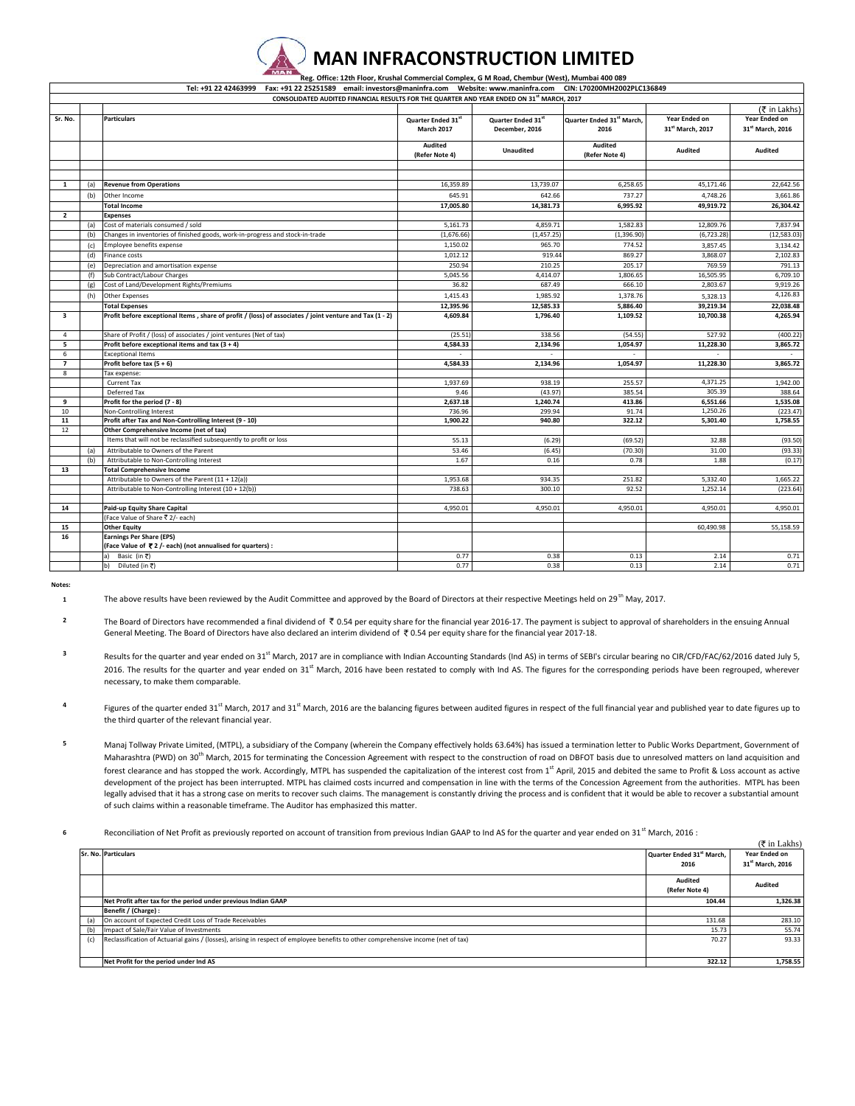## **MAN INFRACONSTRUCTION LIMITED Reg. Office: 12th Floor, Krushal Commercial Complex, G M Road, Chembur (West), Mumbai 400 089**

|                         |     | Tel: +91 22 42463999 Fax: +91 22 25251589 email: investors@maninfra.com Website: www.maninfra.com CIN: L70200MH2002PLC136849 |                           |                    |                                      |                              |                      |
|-------------------------|-----|------------------------------------------------------------------------------------------------------------------------------|---------------------------|--------------------|--------------------------------------|------------------------------|----------------------|
|                         |     | CONSOLIDATED AUDITED FINANCIAL RESULTS FOR THE QUARTER AND YEAR ENDED ON 31 <sup>st</sup> MARCH, 2017                        |                           |                    |                                      |                              |                      |
|                         |     |                                                                                                                              |                           |                    |                                      |                              | (そ in Lakhs)         |
| Sr. No.                 |     | <b>Particulars</b>                                                                                                           | Quarter Ended 31st        | Quarter Ended 31st | Quarter Ended 31 <sup>st</sup> March | Year Ended on                | Year Ended on        |
|                         |     |                                                                                                                              | <b>March 2017</b>         | December, 2016     | 2016                                 | 31 <sup>st</sup> March, 2017 | 31st March, 2016     |
|                         |     |                                                                                                                              | Audited<br>(Refer Note 4) | <b>Unaudited</b>   | <b>Audited</b><br>(Refer Note 4)     | <b>Audited</b>               | Audited              |
|                         |     |                                                                                                                              |                           |                    |                                      |                              |                      |
|                         |     |                                                                                                                              |                           |                    |                                      |                              |                      |
| $\mathbf{1}$            | (a) | <b>Revenue from Operations</b>                                                                                               | 16,359.89                 | 13,739.07          | 6,258.65                             | 45,171.46                    | 22,642.56            |
|                         | (b) | Other Income                                                                                                                 | 645.91                    | 642.66             | 737.27                               | 4,748.26                     | 3,661.86             |
|                         |     | <b>Total Income</b>                                                                                                          | 17,005.80                 | 14,381.73          | 6,995.92                             | 49,919.72                    | 26,304.42            |
| $\overline{2}$          |     | <b>Expenses</b>                                                                                                              |                           |                    |                                      |                              |                      |
|                         | (a) | Cost of materials consumed / sold                                                                                            | 5,161.73                  | 4,859.71           | 1,582.83                             | 12,809.76                    | 7,837.94             |
|                         | (b) | Changes in inventories of finished goods, work-in-progress and stock-in-trade                                                | (1,676.66)                | (1,457.25)         | (1,396.90)                           | (6, 723.28)                  | (12,583.03)          |
|                         | (c) | Employee benefits expense                                                                                                    | 1,150.02                  | 965.70             | 774.52                               | 3,857.45                     | 3,134.42             |
|                         | (d) | Finance costs                                                                                                                | 1,012.12                  | 919.44             | 869.27                               | 3,868.07                     | 2,102.83             |
|                         | (e) | Depreciation and amortisation expense                                                                                        | 250.94                    | 210.25             | 205.17                               | 769.59                       | 791.13               |
|                         | (f) | Sub Contract/Labour Charges                                                                                                  | 5,045.56                  | 4,414.07           | 1,806.65                             | 16,505.95                    | 6,709.10             |
|                         | (g) | Cost of Land/Development Rights/Premiums                                                                                     | 36.82                     | 687.49             | 666.10                               | 2,803.67                     | 9,919.26             |
|                         | (h) | <b>Other Expenses</b>                                                                                                        | 1,415.43                  | 1,985.92           | 1,378.76                             | 5,328.13                     | 4,126.83             |
|                         |     | <b>Total Expenses</b>                                                                                                        | 12,395.96                 | 12,585.33          | 5,886.40                             | 39,219.34                    | 22,038.48            |
| $\overline{\mathbf{3}}$ |     | Profit before exceptional Items, share of profit / (loss) of associates / joint venture and Tax (1 - 2)                      | 4,609.84                  | 1,796.40           | 1,109.52                             | 10,700.38                    | 4,265.94             |
| $\overline{4}$          |     | Share of Profit / (loss) of associates / joint ventures (Net of tax)                                                         | (25.51)                   | 338.56             | (54.55)                              | 527.92                       | (400.22)             |
| 5                       |     | Profit before exceptional items and tax $(3 + 4)$                                                                            | 4,584.33                  | 2,134.96           | 1,054.97                             | 11,228.30                    | 3,865.72             |
| -6                      |     | <b>Exceptional Items</b>                                                                                                     |                           |                    |                                      |                              |                      |
| $\overline{\mathbf{z}}$ |     | Profit before tax $(5 + 6)$                                                                                                  | 4,584.33                  | 2,134.96           | 1,054.97                             | 11,228.30                    | 3,865.72             |
| 8                       |     | Tax expense:                                                                                                                 |                           |                    |                                      |                              |                      |
|                         |     | <b>Current Tax</b>                                                                                                           | 1,937.69                  | 938.19             | 255.57                               | 4,371.25                     | 1,942.00             |
|                         |     | Deferred Tax                                                                                                                 | 9.46                      | (43.97)            | 385.54                               | 305.39                       | 388.64               |
| 9                       |     | Profit for the period (7 - 8)                                                                                                | 2,637.18                  | 1,240.74           | 413.86                               | 6,551.66                     | 1,535.08             |
| 10                      |     | Non-Controlling Interest                                                                                                     | 736.96                    | 299.94             | 91.74                                | 1,250.26                     | (223.47)             |
| 11                      |     | Profit after Tax and Non-Controlling Interest (9 - 10)                                                                       | 1,900.22                  | 940.80             | 322.12                               | 5,301.40                     | 1,758.55             |
| 12                      |     | Other Comprehensive Income (net of tax)                                                                                      |                           |                    |                                      |                              |                      |
|                         |     | Items that will not be reclassified subsequently to profit or loss                                                           | 55.13                     | (6.29)             | (69.52)                              | 32.88                        | (93.50)              |
|                         | (a) | Attributable to Owners of the Parent                                                                                         | 53.46                     | (6.45)             | (70.30)                              | 31.00                        | (93.33)              |
|                         | (b) | Attributable to Non-Controlling Interest                                                                                     | 1.67                      | 0.16               | 0.78                                 | 1.88                         | (0.17)               |
| 13                      |     | <b>Total Comprehensive Income</b>                                                                                            |                           |                    |                                      |                              |                      |
|                         |     | Attributable to Owners of the Parent (11 + 12(a))<br>Attributable to Non-Controlling Interest (10 + 12(b))                   | 1,953.68<br>738.63        | 934.35<br>300.10   | 251.82<br>92.52                      | 5,332.40<br>1,252.14         | 1,665.22<br>(223.64) |
|                         |     |                                                                                                                              |                           |                    |                                      |                              |                      |
| 14                      |     | Paid-up Equity Share Capital                                                                                                 | 4,950.01                  | 4,950.01           | 4,950.01                             | 4,950.01                     | 4,950.01             |
|                         |     | (Face Value of Share ₹ 2/- each)                                                                                             |                           |                    |                                      |                              |                      |
| 15                      |     | <b>Other Equity</b>                                                                                                          |                           |                    |                                      | 60,490.98                    | 55,158.59            |
| 16                      |     | <b>Earnings Per Share (EPS)</b>                                                                                              |                           |                    |                                      |                              |                      |
|                         |     | (Face Value of ₹2/- each) (not annualised for quarters) :                                                                    |                           |                    |                                      |                              |                      |
|                         |     | Basic (in ₹)<br>a)                                                                                                           | 0.77                      | 0.38               | 0.13                                 | 2.14                         | 0.71                 |
|                         |     | Diluted (in ₹)<br>b)                                                                                                         | 0.77                      | 0.38               | 0.13                                 | 2.14                         | 0.71                 |

**Notes: 1**

The above results have been reviewed by the Audit Committee and approved by the Board of Directors at their respective Meetings held on 29<sup>th</sup> May, 2017.

**2** The Board of Directors have recommended a final dividend of ₹ 0.54 per equity share for the financial year 2016-17. The payment is subject to approval of shareholders in the ensuing Annual General Meeting. The Board of Directors have also declared an interim dividend of  $\bar{\tau}$  0.54 per equity share for the financial year 2017-18.

**3** Results for the quarter and year ended on 31<sup>st</sup> March, 2017 are in compliance with Indian Accounting Standards (Ind AS) in terms of SEBI's circular bearing no CIR/CFD/FAC/62/2016 dated July 5, 2016. The results for the quarter and year ended on 31<sup>st</sup> March, 2016 have been restated to comply with Ind AS. The figures for the corresponding periods have been regrouped, wherever necessary, to make them comparable.

**4** Figures of the quarter ended 31<sup>st</sup> March, 2017 and 31<sup>st</sup> March, 2016 are the balancing figures between audited figures in respect of the full financial year and published year to date figures up to the third quarter of the relevant financial year.

**5** Manaj Tollway Private Limited, (MTPL), a subsidiary of the Company (wherein the Company effectively holds 63.64%) has issued a termination letter to Public Works Department, Government of Maharashtra (PWD) on 30<sup>th</sup> March, 2015 for terminating the Concession Agreement with respect to the construction of road on DBFOT basis due to unresolved matters on land acquisition and forest clearance and has stopped the work. Accordingly, MTPL has suspended the capitalization of the interest cost from 1<sup>st</sup> April, 2015 and debited the same to Profit & Loss account as active development of the project has been interrupted. MTPL has claimed costs incurred and compensation in line with the terms of the Concession Agreement from the authorities. MTPL has been legally advised that it has a strong case on merits to recover such claims. The management is constantly driving the process and is confident that it would be able to recover a substantial amount of such claims within a reasonable timeframe. The Auditor has emphasized this matter.

**6** Reconciliation of Net Profit as previously reported on account of transition from previous Indian GAAP to Ind AS for the quarter and year ended on 31<sup>st</sup> March, 2016 :

|     |                                                                                                                                    |                           | $($ ₹ in Lakhs)              |
|-----|------------------------------------------------------------------------------------------------------------------------------------|---------------------------|------------------------------|
|     | Sr. No. Particulars                                                                                                                | Quarter Ended 31st March, | Year Ended on                |
|     |                                                                                                                                    | 2016                      | 31 <sup>st</sup> March, 2016 |
|     |                                                                                                                                    | Audited                   |                              |
|     |                                                                                                                                    | (Refer Note 4)            | Audited                      |
|     | Net Profit after tax for the period under previous Indian GAAP                                                                     | 104.44                    | 1,326.38                     |
|     | Benefit / (Charge) :                                                                                                               |                           |                              |
| (a) | On account of Expected Credit Loss of Trade Receivables                                                                            | 131.68                    | 283.10                       |
| (b) | Impact of Sale/Fair Value of Investments                                                                                           | 15.73                     | 55.74                        |
| (c) | Reclassification of Actuarial gains / (losses), arising in respect of employee benefits to other comprehensive income (net of tax) | 70.27                     | 93.33                        |
|     |                                                                                                                                    |                           |                              |
|     | Net Profit for the period under Ind AS                                                                                             | 322.12                    | 1,758.55                     |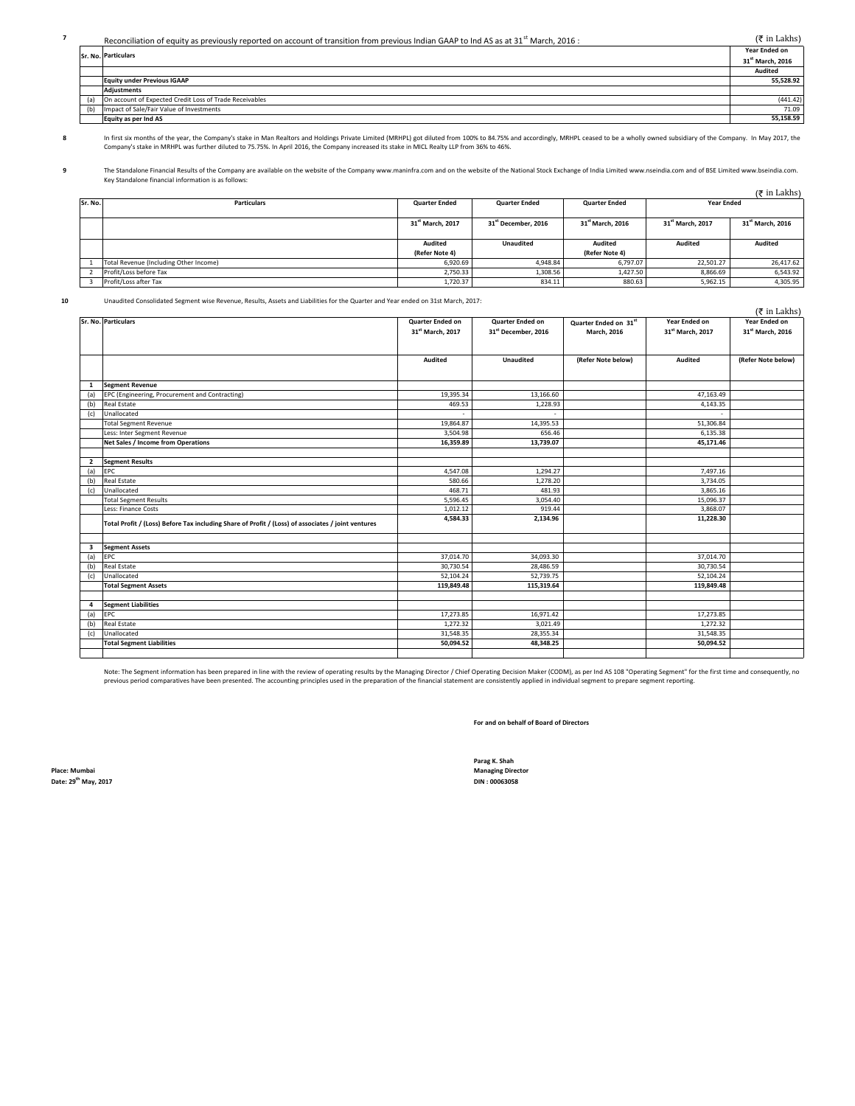**7** Reconciliation of equity as previously reported on account of transition from previous Indian GAAP to Ind AS as at 31<sup>st</sup> March, 2016 : (₹ in Lakhs)

|  | Sr. No. Particulars                                     |                              |
|--|---------------------------------------------------------|------------------------------|
|  |                                                         | 31 <sup>st</sup> March, 2016 |
|  |                                                         | Audited                      |
|  | <b>Equity under Previous IGAAP</b>                      | 55,528.92                    |
|  | <b>Adiustments</b>                                      |                              |
|  | On account of Expected Credit Loss of Trade Receivables | (441.42)                     |
|  | (b) Impact of Sale/Fair Value of Investments            | 71.09                        |
|  | Equity as per Ind AS                                    | 55,158.59                    |

**8**

In first six months of the year, the Company's stake in Man Realtors and Holdings Private Limited (MRHPL) got diluted from 100% to 84.75% and accordingly, MRHPL ceased to be a wholly owned subsidiary of the Company. In May Company's stake in MRHPL was further diluted to 75.75%. In April 2016, the Company increased its stake in MICL Realty LLP from 36% to 46%.

**9** The Standalone Financial Results of the Company are available on the website of the Company www.maninfra.com and on the website of the National Stock Exchange of India Limited www.nseindia.com and of BSE Limited www.bseind Key Standalone financial information is as follows:

|         |                                        |                              |                                 |                              |                              | $(5$ in Lakhs)               |
|---------|----------------------------------------|------------------------------|---------------------------------|------------------------------|------------------------------|------------------------------|
| Sr. No. | <b>Particulars</b>                     | <b>Quarter Ended</b>         | <b>Quarter Ended</b>            | <b>Quarter Ended</b>         | <b>Year Ended</b>            |                              |
|         |                                        |                              |                                 |                              |                              |                              |
|         |                                        | 31 <sup>st</sup> March, 2017 | 31 <sup>st</sup> December, 2016 | 31 <sup>st</sup> March, 2016 | 31 <sup>st</sup> March, 2017 | 31 <sup>st</sup> March, 2016 |
|         |                                        |                              |                                 |                              |                              |                              |
|         |                                        | Audited                      | <b>Unaudited</b>                | Audited                      | Audited                      | Audited                      |
|         |                                        | (Refer Note 4)               |                                 | (Refer Note 4)               |                              |                              |
|         | Total Revenue (Including Other Income) | 6.920.69                     | 4.948.84                        | 6,797.07                     | 22,501.27                    | 26,417.62                    |
|         | Profit/Loss before Tax                 | 2,750.33                     | 1,308.56                        | 1,427.50                     | 8,866.69                     | 6,543.92                     |
|         | Profit/Loss after Tax                  | 1,720.37                     | 834.11                          | 880.63                       | 5,962.15                     | 4,305.95                     |

**10**

Unaudited Consolidated Segment wise Revenue, Results, Assets and Liabilities for the Quarter and Year ended on 31st March, 2017:

|                                                                                                                                                                                                                                                                                                                                                                                                                                                                                                                                                                                                                                                                                          |                                                                                                                 |                                                                                                 |                              | $(5$ in Lakhs)                                                                                                  |
|------------------------------------------------------------------------------------------------------------------------------------------------------------------------------------------------------------------------------------------------------------------------------------------------------------------------------------------------------------------------------------------------------------------------------------------------------------------------------------------------------------------------------------------------------------------------------------------------------------------------------------------------------------------------------------------|-----------------------------------------------------------------------------------------------------------------|-------------------------------------------------------------------------------------------------|------------------------------|-----------------------------------------------------------------------------------------------------------------|
| Quarter Ended on                                                                                                                                                                                                                                                                                                                                                                                                                                                                                                                                                                                                                                                                         | Quarter Ended on                                                                                                | Quarter Ended on 31st                                                                           | Year Ended on                | Year Ended on                                                                                                   |
| 31st March, 2017                                                                                                                                                                                                                                                                                                                                                                                                                                                                                                                                                                                                                                                                         | 31st December, 2016                                                                                             | <b>March. 2016</b>                                                                              | 31 <sup>st</sup> March, 2017 | 31 <sup>st</sup> March, 2016                                                                                    |
|                                                                                                                                                                                                                                                                                                                                                                                                                                                                                                                                                                                                                                                                                          |                                                                                                                 |                                                                                                 |                              |                                                                                                                 |
|                                                                                                                                                                                                                                                                                                                                                                                                                                                                                                                                                                                                                                                                                          |                                                                                                                 |                                                                                                 |                              |                                                                                                                 |
|                                                                                                                                                                                                                                                                                                                                                                                                                                                                                                                                                                                                                                                                                          |                                                                                                                 |                                                                                                 |                              | (Refer Note below)                                                                                              |
|                                                                                                                                                                                                                                                                                                                                                                                                                                                                                                                                                                                                                                                                                          |                                                                                                                 |                                                                                                 |                              |                                                                                                                 |
|                                                                                                                                                                                                                                                                                                                                                                                                                                                                                                                                                                                                                                                                                          |                                                                                                                 |                                                                                                 |                              |                                                                                                                 |
| 19,395.34                                                                                                                                                                                                                                                                                                                                                                                                                                                                                                                                                                                                                                                                                | 13,166.60                                                                                                       |                                                                                                 | 47,163.49                    |                                                                                                                 |
| 469.53                                                                                                                                                                                                                                                                                                                                                                                                                                                                                                                                                                                                                                                                                   | 1,228.93                                                                                                        |                                                                                                 | 4,143.35                     |                                                                                                                 |
|                                                                                                                                                                                                                                                                                                                                                                                                                                                                                                                                                                                                                                                                                          |                                                                                                                 |                                                                                                 |                              |                                                                                                                 |
| 19,864.87                                                                                                                                                                                                                                                                                                                                                                                                                                                                                                                                                                                                                                                                                | 14,395.53                                                                                                       |                                                                                                 | 51,306.84                    |                                                                                                                 |
| 3,504.98                                                                                                                                                                                                                                                                                                                                                                                                                                                                                                                                                                                                                                                                                 | 656.46                                                                                                          |                                                                                                 | 6,135.38                     |                                                                                                                 |
| 16,359.89                                                                                                                                                                                                                                                                                                                                                                                                                                                                                                                                                                                                                                                                                | 13,739.07                                                                                                       |                                                                                                 | 45,171.46                    |                                                                                                                 |
|                                                                                                                                                                                                                                                                                                                                                                                                                                                                                                                                                                                                                                                                                          |                                                                                                                 |                                                                                                 |                              |                                                                                                                 |
|                                                                                                                                                                                                                                                                                                                                                                                                                                                                                                                                                                                                                                                                                          |                                                                                                                 |                                                                                                 |                              |                                                                                                                 |
| 4,547.08                                                                                                                                                                                                                                                                                                                                                                                                                                                                                                                                                                                                                                                                                 | 1,294.27                                                                                                        |                                                                                                 | 7,497.16                     |                                                                                                                 |
| 580.66                                                                                                                                                                                                                                                                                                                                                                                                                                                                                                                                                                                                                                                                                   | 1,278.20                                                                                                        |                                                                                                 | 3,734.05                     |                                                                                                                 |
| 468.71                                                                                                                                                                                                                                                                                                                                                                                                                                                                                                                                                                                                                                                                                   | 481.93                                                                                                          |                                                                                                 | 3,865.16                     |                                                                                                                 |
| 5,596.45                                                                                                                                                                                                                                                                                                                                                                                                                                                                                                                                                                                                                                                                                 | 3,054.40                                                                                                        |                                                                                                 | 15,096.37                    |                                                                                                                 |
| 1,012.12                                                                                                                                                                                                                                                                                                                                                                                                                                                                                                                                                                                                                                                                                 | 919.44                                                                                                          |                                                                                                 | 3,868.07                     |                                                                                                                 |
| 4,584.33                                                                                                                                                                                                                                                                                                                                                                                                                                                                                                                                                                                                                                                                                 | 2,134.96                                                                                                        |                                                                                                 | 11,228.30                    |                                                                                                                 |
|                                                                                                                                                                                                                                                                                                                                                                                                                                                                                                                                                                                                                                                                                          |                                                                                                                 |                                                                                                 |                              |                                                                                                                 |
|                                                                                                                                                                                                                                                                                                                                                                                                                                                                                                                                                                                                                                                                                          |                                                                                                                 |                                                                                                 |                              |                                                                                                                 |
|                                                                                                                                                                                                                                                                                                                                                                                                                                                                                                                                                                                                                                                                                          |                                                                                                                 |                                                                                                 |                              |                                                                                                                 |
|                                                                                                                                                                                                                                                                                                                                                                                                                                                                                                                                                                                                                                                                                          |                                                                                                                 |                                                                                                 |                              |                                                                                                                 |
|                                                                                                                                                                                                                                                                                                                                                                                                                                                                                                                                                                                                                                                                                          |                                                                                                                 |                                                                                                 |                              |                                                                                                                 |
|                                                                                                                                                                                                                                                                                                                                                                                                                                                                                                                                                                                                                                                                                          |                                                                                                                 |                                                                                                 |                              |                                                                                                                 |
|                                                                                                                                                                                                                                                                                                                                                                                                                                                                                                                                                                                                                                                                                          |                                                                                                                 |                                                                                                 |                              |                                                                                                                 |
|                                                                                                                                                                                                                                                                                                                                                                                                                                                                                                                                                                                                                                                                                          |                                                                                                                 |                                                                                                 |                              |                                                                                                                 |
|                                                                                                                                                                                                                                                                                                                                                                                                                                                                                                                                                                                                                                                                                          |                                                                                                                 |                                                                                                 |                              |                                                                                                                 |
|                                                                                                                                                                                                                                                                                                                                                                                                                                                                                                                                                                                                                                                                                          | 3,021.49                                                                                                        |                                                                                                 |                              |                                                                                                                 |
|                                                                                                                                                                                                                                                                                                                                                                                                                                                                                                                                                                                                                                                                                          | 28,355.34                                                                                                       |                                                                                                 |                              |                                                                                                                 |
|                                                                                                                                                                                                                                                                                                                                                                                                                                                                                                                                                                                                                                                                                          |                                                                                                                 |                                                                                                 |                              |                                                                                                                 |
| Sr. No. Particulars<br><b>Segment Revenue</b><br>EPC (Engineering, Procurement and Contracting)<br>(b) Real Estate<br>Unallocated<br><b>Total Segment Revenue</b><br>Less: Inter Segment Revenue<br>Net Sales / Income from Operations<br><b>Segment Results</b><br>EPC<br>(b) Real Estate<br>Unallocated<br><b>Total Segment Results</b><br>Less: Finance Costs<br>Total Profit / (Loss) Before Tax including Share of Profit / (Loss) of associates / joint ventures<br><b>Segment Assets</b><br>EPC<br><b>Real Estate</b><br>Unallocated<br><b>Total Segment Assets</b><br><b>Segment Liabilities</b><br>EPC<br><b>Real Estate</b><br>Unallocated<br><b>Total Segment Liabilities</b> | Audited<br>37,014.70<br>30,730.54<br>52,104.24<br>119,849.48<br>17,273.85<br>1,272.32<br>31,548.35<br>50,094.52 | <b>Unaudited</b><br>34,093.30<br>28,486.59<br>52,739.75<br>115,319.64<br>16,971.42<br>48,348.25 | (Refer Note below)           | Audited<br>37,014.70<br>30,730.54<br>52,104.24<br>119,849.48<br>17,273.85<br>1,272.32<br>31,548.35<br>50,094.52 |

Note: The Segment information has been prepared in line with the review of operating results by the Managing Director / Chief Operating Decision Maker (CODM), as per Ind AS 108 "Operating Segment" for the first time and co previous period comparatives have been presented. The accounting principles used in the preparation of the financial statement are consistently applied in individual segment to prepare segment reporting.

**For and on behalf of Board of Directors**

**Place: Mumbai Managing Director**  $Date: 29<sup>th</sup> May, 2017$ 

**Parag K. Shah**